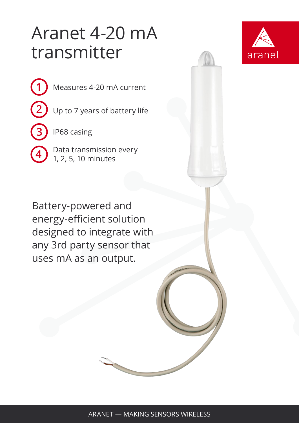## Aranet 4-20 mA transmitter



- Measures 4-20 mA current
	- Up to 7 years of battery life

IP68 casing

**4**

**1**

**2**

**3**

Data transmission every 1, 2, 5, 10 minutes

Battery-powered and energy-efficient solution designed to integrate with any 3rd party sensor that uses mA as an output.